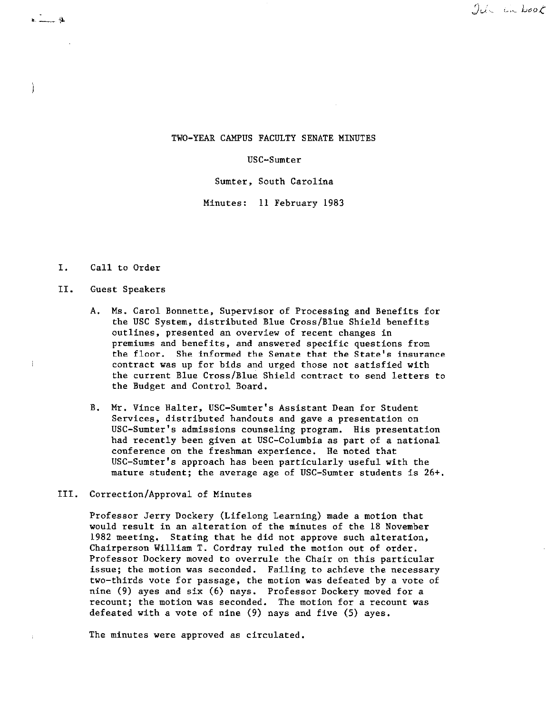## $90 - 100$

### TWO-YEAR CAMPUS FACULTY SENATE MINUTES

#### USC-Sumter

Sumter, South Carolina

Minutes: 11 February 1983

### I. Call to Order

 $\frac{1}{2}$  .  $\frac{1}{2}$  .  $\frac{1}{2}$ 

Ì

÷

#### II. Guest Speakers

- A. Ms, Carol Bonnette, Supervisor of Processing and Benefits for the USC System, distributed Blue Cross/Blue Shield benefits **outlines, presented an overview of recent changes in**  premiums and benefits, and answered specific questions from the floor. She informed the Senate that the State's insurance contract was up for bids and urged those not satisfied with the current Blue Cross/Blue Shield contract to send letters to the Budget and Control Board.
- B. Mr. Vince Halter, USC-Sumter's Assistant Dean for Student Services, distributed handouts and gave a presentation on USC-Sumter's admissions counseling program. His presentation had recently been given at USC-Columbia as part of a national conference on the freshman experience. He noted that USC-Sumter's approach has been particularly useful with the mature student; the average age of USC-Sumter students is 26+.

### III. Correction/Approval of Minutes

Professor Jerry Dockery (Lifelong Learning) made a motion that would result in an alteration of the minutes of the 18 November 1982 meeting. Stating that he did not approve such alteration, Chairperson William T. Cordray ruled the motion out of order. Professor Dockery moved to overrule the Chair on this particular issue; the motion was seconded. Failing to achieve the necessary two-thirds vote for passage, the motion was defeated by a vote of nine (9) ayes and six (6) nays. Professor Dockery moved for a **recount; the motion was seconded. The motion for a recount was**  defeated with a vote of nine (9) nays and five (5) ayes.

The minutes were approved as circulated.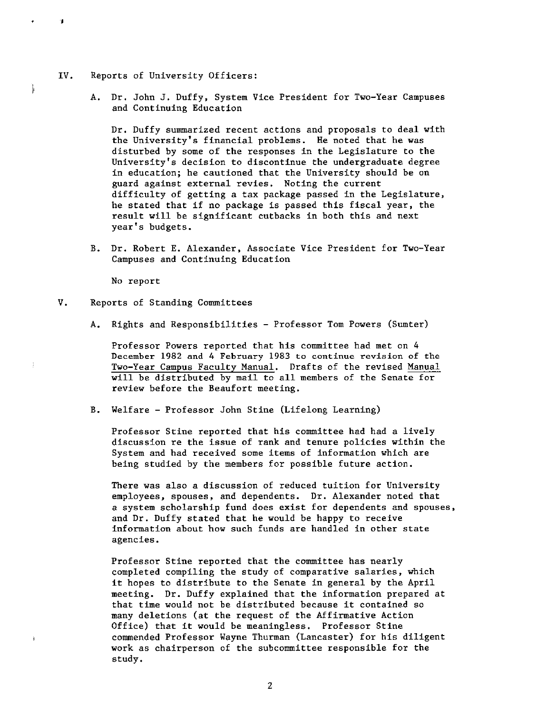IV. Reports of University Officers:

j

 $\frac{1}{2}$ 

A. Dr. John J, Duffy, System Vice President for Two-Year Campuses and Continuing Education

Dr. Duffy summarized recent actions and proposals to deal with the University's financial problems. He noted that he was disturbed by some of the responses in the Legislature to the University's decision to discontinue the undergraduate degree in education; he cautioned that the University should be on guard against external revies, Noting the current difficulty of getting a tax package passed in the Legislature, he stated that if no package is passed this fiscal year, the result will be significant cutbacks in both this and next year's budgets.

B. Dr. Robert E. Alexander, Associate Vice President for Two-Year Campuses and Continuing Education

No report

- V. Reports of Standing Committees
	- A. Rights and Responsibilities Professor Tom Powers (Sumter)

Professor Powers reported that his committee had met on 4 December 1982 and 4 February 1983 to continue revision of the Two-Year Campus Faculty Manual. Drafts of the revised Manual will be distributed by mail to all members of the Senate for review before the Beaufort meeting.

B. Welfare - Professor John Stine (Lifelong Learning)

Professor Stine reported that his committee had had a lively discussion re the issue of rank and tenure policies within the System and had received some items of information which are being studied by the members for possible future action.

There was also a discussion of reduced tuition for University employees, spouses, and dependents. Dr. Alexander noted that a system scholarship fund does exist for dependents and spouses, and Dr. Duffy stated that he would be happy to receive information about how such funds are handled in other state agencies.

Professor Stine reported that the committee has nearly completed compiling the study of comparative salaries, which it hopes to distribute to the Senate in general by the April meeting. Dr. Duffy explained that the information prepared at that time would not be distributed because it contained so many deletions (at the request of the Affirmative Action Office) that it would be meaningless. Professor Stine commended Professor Wayne Thurman (Lancaster) for his diligent work as chairperson of the subcommittee responsible for the study.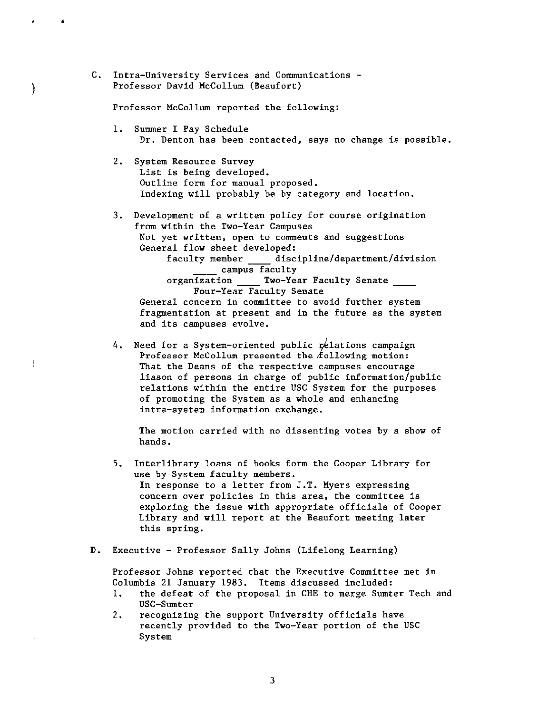C. Intra-University Services and Communications - Professor David McCollum (Beaufort)

•

)

 $\dagger$ 

Professor McCollum reported the following:

- 1. Summer I Pay Schedule Dr. Denton has been contacted, says no change is possible.
- 2. System Resource Survey List is being developed. Outline form for manual proposed. Indexing will probably be by category and location.
- 3. Development of a written policy for course origination from within the Two-Year Campuses Not yet written, open to comments and suggestions General flow sheet developed: faculty member \_\_\_\_\_ discipline/department/division campus faculty organization \_\_\_\_\_ Two-Year Faculty Senate \_\_\_\_\_ Four-Year Faculty Senate **General concern in committee to avoid further system**  fragmentation at present and in the future as the system and its campuses evolve.
- 4. Need for a System-oriented public rélations campaign Professor McCollum presented the  $f$ ollowing motion: That the Deans of the respective campuses encourage liason of persons in charge of public information/public relations within the entire USC System for the purposes of promoting the System as a whole and enhancing **intra-system information exchange.**

The motion carried with no dissenting votes by a show of hands.

- 5. Interlibrary loans of books form the Cooper Library for use by System faculty members. In response to a letter from J.T. Myers expressing **concern over policies in this area, the committee is**  exploring the issue with appropriate officials of Cooper Library and will report at the Beaufort meeting later this spring.
- D. Executive Professor Sally Johns (Lifelong Learning)

Professor Johns reported that the Executive Committee met in Columbia 21 January 1983. Items discussed included:

- 1. the defeat of the proposal in CHE to merge Sumter Tech and USC-Sumter
- 2. recognizing the support University officials have recently provided to the Two-Year portion of the USC System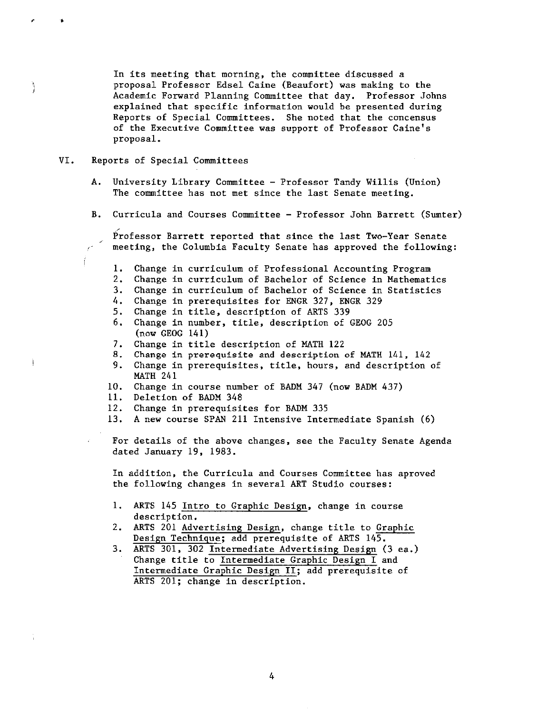In its meeting that morning, the committee discussed a proposal Professor Edsel Caine (Beaufort) was making to the Academic Forward Planning Committee that day, Professor Johns explained that specific information would be presented during Reports of Special Committees. She noted that the concensus of the Executive Committee was support of Professor Caine's proposal,

### VI. Reports of Special Committees

/

, ,

 $\frac{1}{2}$ 

- A. University Library Committee Professor Tandy Willis (Union) The committee has not met since the last Senate meeting,
- B. Curricula and Courses Committee Professor John Barrett (Sumter)

Professor Barrett reported that since the last Two-Year Senate meeting, the Columbia Faculty Senate has approved the following:

- 1. Change in curriculum of Professional Accounting Program
- 2. Change in curriculum of Bachelor of Science in Mathematics
- 3. Change in curriculum of Bachelor of Science in Statistics
- 4. Change in prerequisites for ENGR 327, ENGR 329
- 5. Change in title, description of ARTS 339
- 6. Change in number, title, description of GEOG 205 (now GEOG 141)
- 7. Change in title description of MATH 122
- 8, Change in prerequisite and description of MATH 141, 142
- 9. Change in prerequisites, title, hours, and description of MATH 241
- 10, Change in course number of BADM 347 (now BADM 437)
- 11. Deletion of BADM 348
- 12. Change in prerequisites for BADM 335
- 13, A new course SPAN 211 Intensive Intermediate Spanish (6)

For details of the above changes, see the Faculty Senate Agenda dated January 19, 1983,

In addition, the Curricula and Courses Committee has aproved the following changes in several ART Studio courses:

- 1. ARTS 145 Intro to Graphic Design, change in course description.
- 2. ARTS 201 Advertising Design, change title to Graphic Design Technique; add prerequisite of ARTS 145.
- 3. ARTS 301, 302 Intermediate Advertising Design (3 ea,) Change title to Intermediate Graphic Design I and Intermediate Graphic Design II; add prerequisite of ARTS 201; change in description.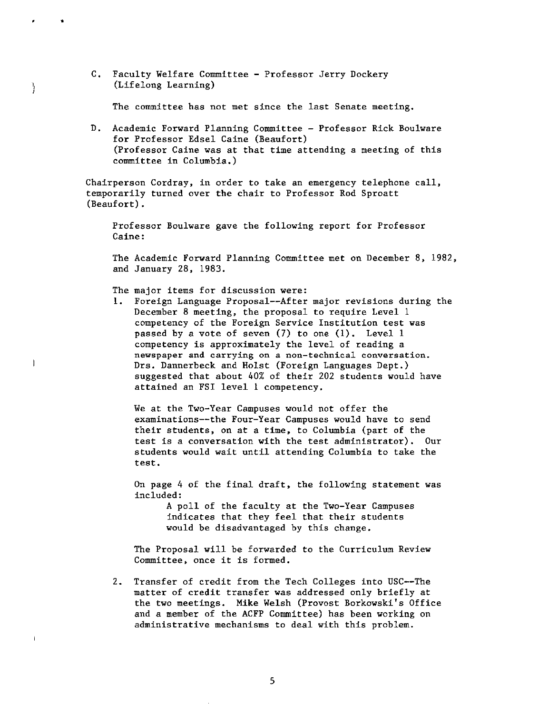C, Faculty Welfare Committee - Professor Jerry Dockery (Lifelong Learning)

•

ł

 $\overline{1}$ 

 $\mathbf{I}$ 

The committee has not met since the last Senate meeting,

D. Academic Forward Planning Committee - Professor Rick Boulware for Professor Edsel Caine (Beaufort) (Professor Caine was at that time attending a meeting of this committee in Columbia.)

Chairperson Cordray, in order to take an emergency telephone call, temporarily turned over the chair to Professor Rod Sproatt (Beaufort).

Professor Boulware gave the following report for Professor Caine:

The Academic Forward Planning Committee met on December 8, 1982, and January 28, 1983.

The major items for discussion were:

1. Foreign Language Proposal--After major revisions during the December 8 meeting, the proposal to require Level 1 competency of the Foreign Service Institution test was passed by a vote of seven (7) to one (1). Level 1 competency is approximately the level of reading a **newspaper and carrying** on a **non-technical conversation.**  Drs. Dannerbeck and Holst (Foreign Languages Dept.) suggested that about 40% of their 202 students would have attained an FSI level 1 competency,

We at the Two-Year Campuses would not offer the examinations--the Four-Year Campuses would have to send their students, on at a time, to Columbia (part of the test is a conversation with the test administrator). Our students would wait until attending Columbia to take the test.

On page 4 of the final draft, the following statement was included:

> A poll of the faculty at the Two-Year Campuses indicates that they feel that their students would be disadvantaged by this change.

The Proposal will be forwarded to the Curriculum Review Committee, once it is formed.

2. Transfer of credit from the Tech Colleges into USC--The matter of credit transfer was addressed only briefly at the two meetings. **Mike** Welsh (Provost Borkowski's Office and a member of the ACFP Committee) has been working on administrative mechanisms to deal with this problem.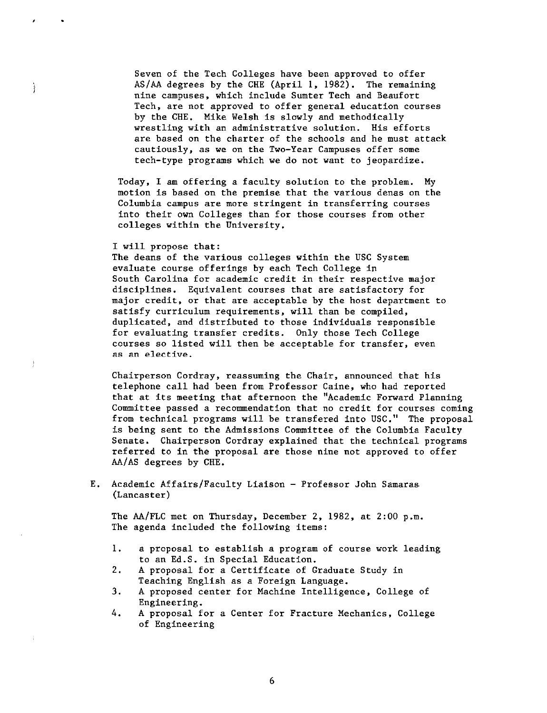Seven of the Tech Colleges have been approved to offer AS/AA degrees by the CHE (April 1, 1982). The remaining nine campuses, which include Sumter Tech and Beaufort Tech, are not approved to offer general education courses by the CHE. Mike Welsh is slowly and methodically wrestling with an administrative solution. His efforts are based on the charter of the schools and he must attack cautiously, as we on the Two-Year Campuses offer some tech-type programs which we do not want to jeopardize.

Today, I am offering a faculty solution to the problem. My motion is based on the premise that the various denas on the Columbia campus are more stringent in transferring courses into their own Colleges than for those courses from other colleges within the University.

#### I will propose that:

,

 $\mathbf{L}$ 

The deans of the various colleges within the USC System evaluate course offerings by each Tech College in South Carolina for academic credit in their respective major disciplines. Equivalent courses that are satisfactory for major credit, or that are acceptable by the host department to satisfy curriculum requirements, will than be compiled, duplicated, and distributed to those individuals responsible for evaluating transfer credits. Only those Tech College courses so listed will then be acceptable for transfer, even as an elective.

Chairperson Cordray, reassuming the Chair, announced that his telephone call had been from Professor Caine, who had reported that at its meeting that afternoon the "Academic Forward Planning Committee passed a recommendation that no credit for courses coming from technical programs will be transfered into USC." The proposal is being sent to the Admissions Committee of the Columbia Faculty Senate. Chairperson Cordray explained that the technical programs referred to in the proposal are those nine not approved to offer AA/AS degrees by CHE.

E. Academic Affairs/Faculty Liaison - Professor John Samaras (Lancaster)

The AA/FLC met on Thursday, December 2, 1982, at 2:00 p.m. The agenda included the following items:

- l. a proposal to establish a program of course work leading to an Ed.S. in Special Education.
- 2. A proposal for a Certificate of Graduate Study in Teaching English as a Foreign Language.
- 3. A proposed center for Machine Intelligence, College of Engineering.
- 4. A proposal for a Center for Fracture Mechanics, College of Engineering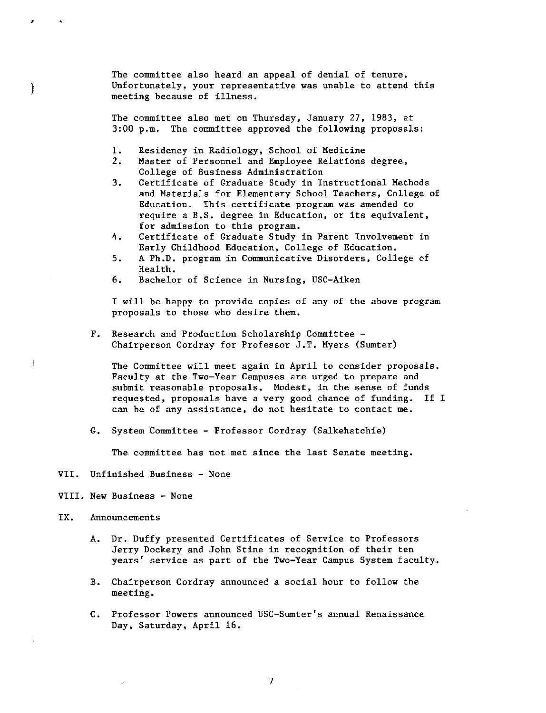The committee also heard an appeal of denial of tenure. Unfortunately, your representative was unable to attend this meeting because of illness.

The committee also met on Thursday, January 27, 1983, at 3:00 p.m. The committee approved the following proposals:

- 1. Residency in Radiology, School of Medicine<br>2. Master of Personnel and Employee Relations
- Master of Personnel and Employee Relations degree, College of Business Administration
- 3. Certificate of Graduate Study in Instructional Methods and Materials for Elementary School Teachers, College of Education. This certificate program was amended to require a B.S. degree in Education, or its equivalent, for admission to this program.
- 4. Certificate of Graduate Study in Parent Involvement in Early Childhood Education, College of Education.
- 5. A Ph.D. program in Communicative Disorders, College of Health.
- 6. Bachelor of Science in Nursing, USC-Aiken

I will be happy to provide copies of any of the above program proposals to those who desire them.

F. Research and Production Scholarship Committee - Chairperson Cordray for Professor J.T. Myers (Sumter)

The Committee will meet again in April to consider proposals. Faculty at the Two-Year Campuses are urged to prepare and submit reasonable proposals. Modest, in the sense of funds requested, proposals have a very good chance of funding. If I can be of any assistance, do not hesitate to contact me.

G. System Committee - Professor Cordray (Salkehatchie)

The committee has not met since the last Senate meeting.

- VII. Unfinished Business None
- **VIII. New** Business None
- IX. Announcements

,

Ì

ţ

 $\overline{1}$ 

- A. Dr. Duffy presented Certificates of Service to Professors Jerry Dockery and John Stine in recognition of their ten years' service as part of the Two-Year Campus System faculty.
- B. Chairperson Cordray announced a social hour to follow the meeting.
- C. Professor Powers announced USC-Sumter's annual Renaissance Day, Saturday, April 16.

7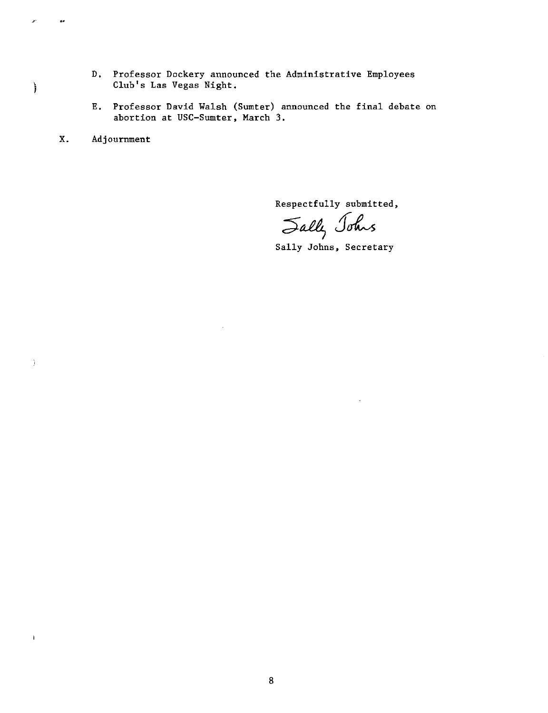- D. Professor Dockery announced the Administrative Employees Club's Las Vegas Night.
- E. Professor David Walsh (Sumter) announced the final debate on abortion at USC-Sumter, March 3.
- X. Adjournment

,.

ì

 $\mathbf{I}$ 

 $\bar{1}$ 

Respectfully submitted,

 $\leq$ ally Johns

Sally Johns, Secretary